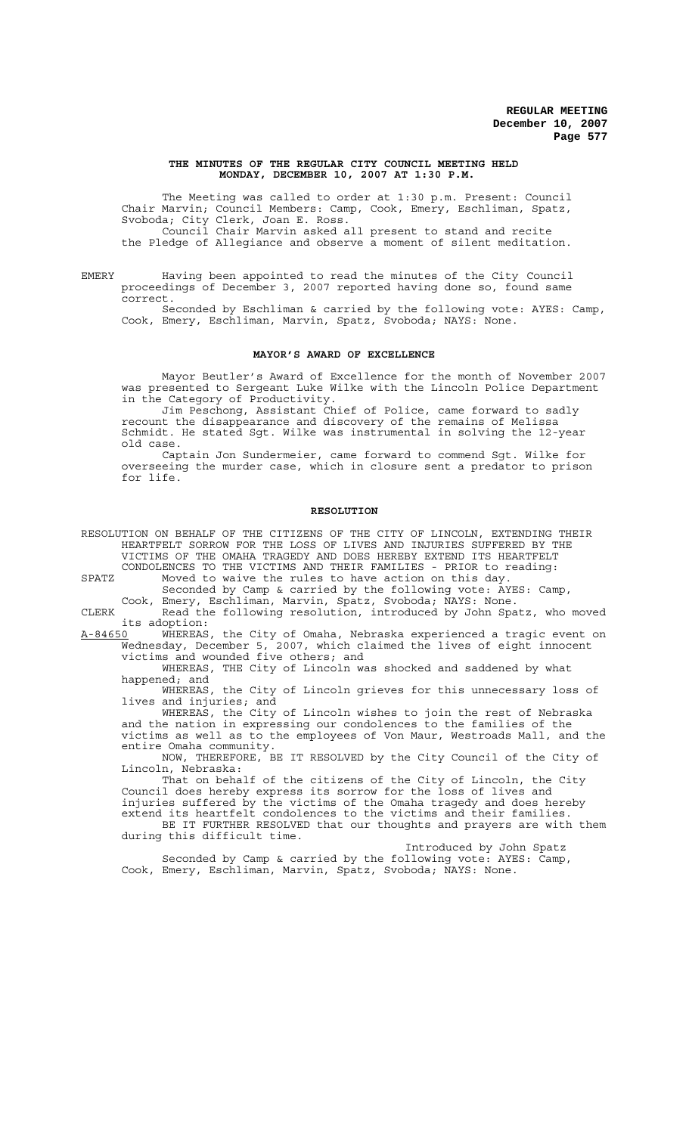### **THE MINUTES OF THE REGULAR CITY COUNCIL MEETING HELD MONDAY, DECEMBER 10, 2007 AT 1:30 P.M.**

The Meeting was called to order at 1:30 p.m. Present: Council Chair Marvin; Council Members: Camp, Cook, Emery, Eschliman, Spatz, Svoboda; City Clerk, Joan E. Ross. Council Chair Marvin asked all present to stand and recite the Pledge of Allegiance and observe a moment of silent meditation.

EMERY Having been appointed to read the minutes of the City Council proceedings of December 3, 2007 reported having done so, found same correct.

Seconded by Eschliman & carried by the following vote: AYES: Camp, Cook, Emery, Eschliman, Marvin, Spatz, Svoboda; NAYS: None.

#### **MAYOR'S AWARD OF EXCELLENCE**

Mayor Beutler's Award of Excellence for the month of November 2007 was presented to Sergeant Luke Wilke with the Lincoln Police Department in the Category of Productivity.

Jim Peschong, Assistant Chief of Police, came forward to sadly recount the disappearance and discovery of the remains of Melissa Schmidt. He stated Sgt. Wilke was instrumental in solving the 12-year old case.

Captain Jon Sundermeier, came forward to commend Sgt. Wilke for overseeing the murder case, which in closure sent a predator to prison for life.

### **RESOLUTION**

RESOLUTION ON BEHALF OF THE CITIZENS OF THE CITY OF LINCOLN, EXTENDING THEIR HEARTFELT SORROW FOR THE LOSS OF LIVES AND INJURIES SUFFERED BY THE VICTIMS OF THE OMAHA TRAGEDY AND DOES HEREBY EXTEND ITS HEARTFELT CONDOLENCES TO THE VICTIMS AND THEIR FAMILIES - PRIOR to reading:

SPATZ Moved to waive the rules to have action on this day. Seconded by Camp & carried by the following vote: AYES: Camp,

Cook, Emery, Eschliman, Marvin, Spatz, Svoboda; NAYS: None. CLERK Read the following resolution, introduced by John Spatz, who moved its adoption:

A-84650 WHEREAS, the City of Omaha, Nebraska experienced a tragic event on Wednesday, December 5, 2007, which claimed the lives of eight innocent victims and wounded five others; and

WHEREAS, THE City of Lincoln was shocked and saddened by what happened; and

WHEREAS, the City of Lincoln grieves for this unnecessary loss of lives and injuries; and

WHEREAS, the City of Lincoln wishes to join the rest of Nebraska and the nation in expressing our condolences to the families of the victims as well as to the employees of Von Maur, Westroads Mall, and the entire Omaha community.

NOW, THEREFORE, BE IT RESOLVED by the City Council of the City of Lincoln, Nebraska:

That on behalf of the citizens of the City of Lincoln, the City Council does hereby express its sorrow for the loss of lives and injuries suffered by the victims of the Omaha tragedy and does hereby extend its heartfelt condolences to the victims and their families. BE IT FURTHER RESOLVED that our thoughts and prayers are with them during this difficult time.

Introduced by John Spatz Seconded by Camp & carried by the following vote: AYES: Camp, Cook, Emery, Eschliman, Marvin, Spatz, Svoboda; NAYS: None.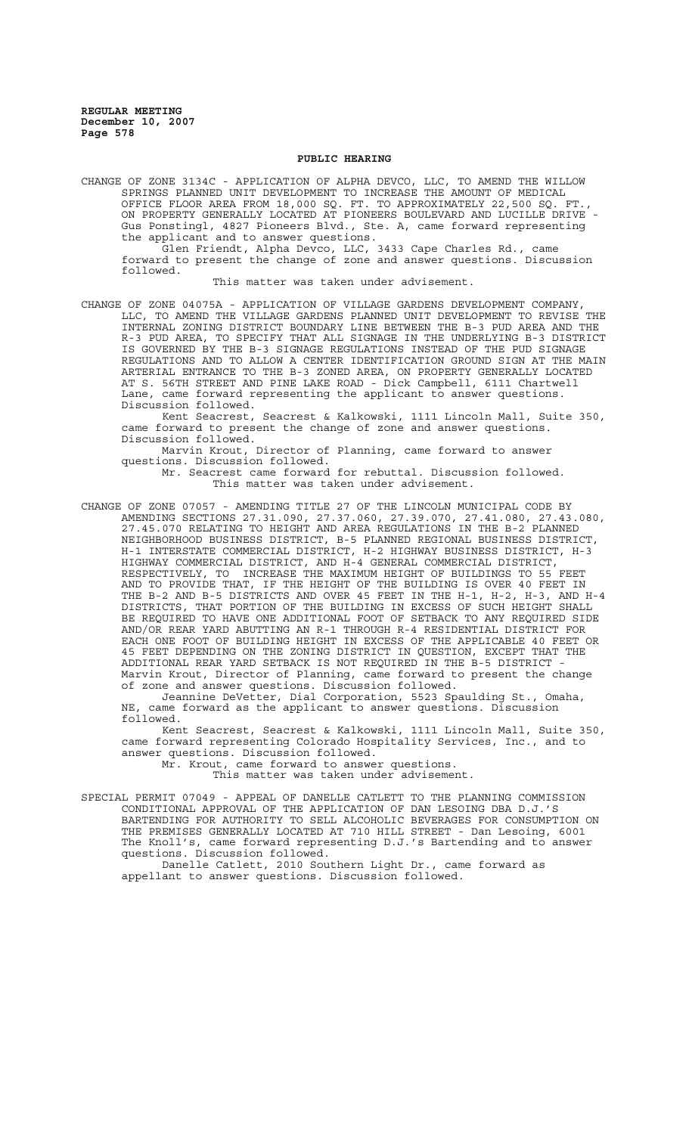## **PUBLIC HEARING**

CHANGE OF ZONE 3134C - APPLICATION OF ALPHA DEVCO, LLC, TO AMEND THE WILLOW SPRINGS PLANNED UNIT DEVELOPMENT TO INCREASE THE AMOUNT OF MEDICAL OFFICE FLOOR AREA FROM 18,000 SQ. FT. TO APPROXIMATELY 22,500 SQ. FT., ON PROPERTY GENERALLY LOCATED AT PIONEERS BOULEVARD AND LUCILLE DRIVE - Gus Ponstingl, 4827 Pioneers Blvd., Ste. A, came forward representing the applicant and to answer questions.

Glen Friendt, Alpha Devco, LLC, 3433 Cape Charles Rd., came forward to present the change of zone and answer questions. Discussion followed.

This matter was taken under advisement.

CHANGE OF ZONE 04075A - APPLICATION OF VILLAGE GARDENS DEVELOPMENT COMPANY, LLC, TO AMEND THE VILLAGE GARDENS PLANNED UNIT DEVELOPMENT TO REVISE THE INTERNAL ZONING DISTRICT BOUNDARY LINE BETWEEN THE B-3 PUD AREA AND THE R-3 PUD AREA, TO SPECIFY THAT ALL SIGNAGE IN THE UNDERLYING B-3 DISTRICT IS GOVERNED BY THE B-3 SIGNAGE REGULATIONS INSTEAD OF THE PUD SIGNAGE REGULATIONS AND TO ALLOW A CENTER IDENTIFICATION GROUND SIGN AT THE MAIN ARTERIAL ENTRANCE TO THE B-3 ZONED AREA, ON PROPERTY GENERALLY LOCATED AT S. 56TH STREET AND PINE LAKE ROAD - Dick Campbell, 6111 Chartwell Lane, came forward representing the applicant to answer questions. Discussion followed.

Kent Seacrest, Seacrest & Kalkowski, 1111 Lincoln Mall, Suite 350, came forward to present the change of zone and answer questions. Discussion followed.

Marvin Krout, Director of Planning, came forward to answer questions. Discussion followed. Mr. Seacrest came forward for rebuttal. Discussion followed.

This matter was taken under advisement.

CHANGE OF ZONE 07057 - AMENDING TITLE 27 OF THE LINCOLN MUNICIPAL CODE BY AMENDING SECTIONS 27.31.090, 27.37.060, 27.39.070, 27.41.080, 27.43.080, 27.45.070 RELATING TO HEIGHT AND AREA REGULATIONS IN THE B-2 PLANNED NEIGHBORHOOD BUSINESS DISTRICT, B-5 PLANNED REGIONAL BUSINESS DISTRICT, H-1 INTERSTATE COMMERCIAL DISTRICT, H-2 HIGHWAY BUSINESS DISTRICT, H-3 HIGHWAY COMMERCIAL DISTRICT, AND H-4 GENERAL COMMERCIAL DISTRICT, RESPECTIVELY, TO INCREASE THE MAXIMUM HEIGHT OF BUILDINGS TO 55 FEET AND TO PROVIDE THAT, IF THE HEIGHT OF THE BUILDING IS OVER 40 FEET IN THE B-2 AND B-5 DISTRICTS AND OVER 45 FEET IN THE H-1, H-2, H-3, AND H-4 DISTRICTS, THAT PORTION OF THE BUILDING IN EXCESS OF SUCH HEIGHT SHALL BE REQUIRED TO HAVE ONE ADDITIONAL FOOT OF SETBACK TO ANY REQUIRED SIDE AND/OR REAR YARD ABUTTING AN R-1 THROUGH R-4 RESIDENTIAL DISTRICT FOR EACH ONE FOOT OF BUILDING HEIGHT IN EXCESS OF THE APPLICABLE 40 FEET OR 45 FEET DEPENDING ON THE ZONING DISTRICT IN QUESTION, EXCEPT THAT THE ADDITIONAL REAR YARD SETBACK IS NOT REQUIRED IN THE B-5 DISTRICT - Marvin Krout, Director of Planning, came forward to present the change of zone and answer questions. Discussion followed.

Jeannine DeVetter, Dial Corporation, 5523 Spaulding St., Omaha, NE, came forward as the applicant to answer questions. Discussion followed.

Kent Seacrest, Seacrest & Kalkowski, 1111 Lincoln Mall, Suite 350, came forward representing Colorado Hospitality Services, Inc., and to answer questions. Discussion followed.

Mr. Krout, came forward to answer questions.

This matter was taken under advisement.

SPECIAL PERMIT 07049 - APPEAL OF DANELLE CATLETT TO THE PLANNING COMMISSION CONDITIONAL APPROVAL OF THE APPLICATION OF DAN LESOING DBA D.J.'S BARTENDING FOR AUTHORITY TO SELL ALCOHOLIC BEVERAGES FOR CONSUMPTION ON THE PREMISES GENERALLY LOCATED AT 710 HILL STREET - Dan Lesoing, 6001 The Knoll's, came forward representing D.J.'s Bartending and to answer questions. Discussion followed. Danelle Catlett, 2010 Southern Light Dr., came forward as appellant to answer questions. Discussion followed.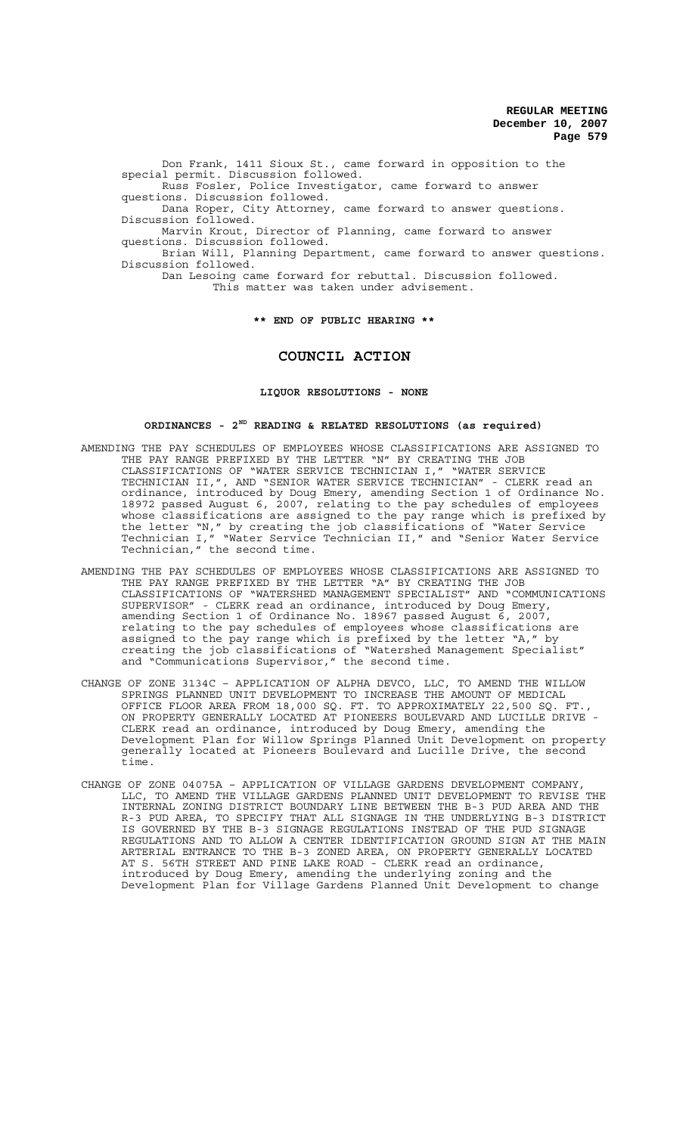Don Frank, 1411 Sioux St., came forward in opposition to the special permit. Discussion followed.

Russ Fosler, Police Investigator, came forward to answer questions. Discussion followed.

Dana Roper, City Attorney, came forward to answer questions. Discussion followed.

Marvin Krout, Director of Planning, came forward to answer questions. Discussion followed.

Brian Will, Planning Department, came forward to answer questions. Discussion followed.

Dan Lesoing came forward for rebuttal. Discussion followed.

This matter was taken under advisement.

**\*\* END OF PUBLIC HEARING \*\***

# **COUNCIL ACTION**

#### **LIQUOR RESOLUTIONS - NONE**

# **ORDINANCES - 2ND READING & RELATED RESOLUTIONS (as required)**

- AMENDING THE PAY SCHEDULES OF EMPLOYEES WHOSE CLASSIFICATIONS ARE ASSIGNED TO THE PAY RANGE PREFIXED BY THE LETTER "N" BY CREATING THE JOB CLASSIFICATIONS OF "WATER SERVICE TECHNICIAN I," "WATER SERVICE TECHNICIAN II,", AND "SENIOR WATER SERVICE TECHNICIAN" - CLERK read an ordinance, introduced by Doug Emery, amending Section 1 of Ordinance No. 18972 passed August 6, 2007, relating to the pay schedules of employees whose classifications are assigned to the pay range which is prefixed by the letter "N," by creating the job classifications of "Water Service Technician I," "Water Service Technician II," and "Senior Water Service Technician," the second time.
- AMENDING THE PAY SCHEDULES OF EMPLOYEES WHOSE CLASSIFICATIONS ARE ASSIGNED TO THE PAY RANGE PREFIXED BY THE LETTER "A" BY CREATING THE JOB CLASSIFICATIONS OF "WATERSHED MANAGEMENT SPECIALIST" AND "COMMUNICATIONS SUPERVISOR" - CLERK read an ordinance, introduced by Doug Emery, amending Section 1 of Ordinance No. 18967 passed August 6, 2007, relating to the pay schedules of employees whose classifications are assigned to the pay range which is prefixed by the letter "A," by creating the job classifications of "Watershed Management Specialist" and "Communications Supervisor," the second time.
- CHANGE OF ZONE 3134C APPLICATION OF ALPHA DEVCO, LLC, TO AMEND THE WILLOW SPRINGS PLANNED UNIT DEVELOPMENT TO INCREASE THE AMOUNT OF MEDICAL OFFICE FLOOR AREA FROM 18,000 SQ. FT. TO APPROXIMATELY 22,500 SQ. FT., ON PROPERTY GENERALLY LOCATED AT PIONEERS BOULEVARD AND LUCILLE DRIVE - CLERK read an ordinance, introduced by Doug Emery, amending the Development Plan for Willow Springs Planned Unit Development on property generally located at Pioneers Boulevard and Lucille Drive, the second time.
- CHANGE OF ZONE 04075A APPLICATION OF VILLAGE GARDENS DEVELOPMENT COMPANY, LLC, TO AMEND THE VILLAGE GARDENS PLANNED UNIT DEVELOPMENT TO REVISE THE INTERNAL ZONING DISTRICT BOUNDARY LINE BETWEEN THE B-3 PUD AREA AND THE R-3 PUD AREA, TO SPECIFY THAT ALL SIGNAGE IN THE UNDERLYING B-3 DISTRICT IS GOVERNED BY THE B-3 SIGNAGE REGULATIONS INSTEAD OF THE PUD SIGNAGE REGULATIONS AND TO ALLOW A CENTER IDENTIFICATION GROUND SIGN AT THE MAIN ARTERIAL ENTRANCE TO THE B-3 ZONED AREA, ON PROPERTY GENERALLY LOCATED AT S. 56TH STREET AND PINE LAKE ROAD - CLERK read an ordinance, introduced by Doug Emery, amending the underlying zoning and the Development Plan for Village Gardens Planned Unit Development to change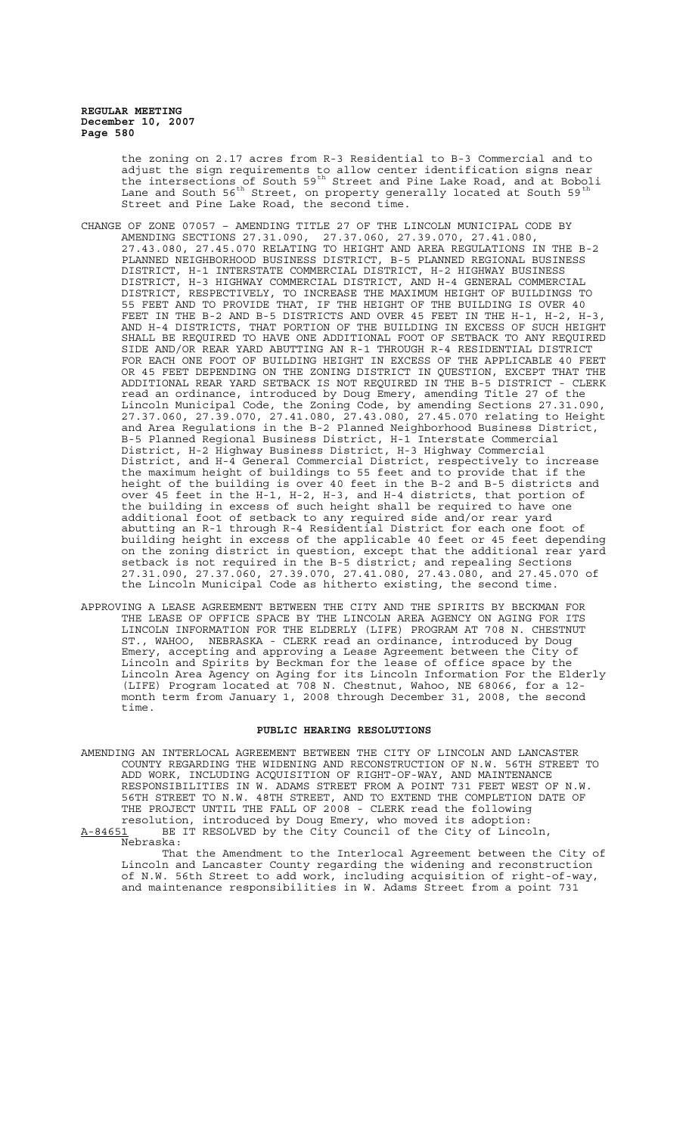> the zoning on 2.17 acres from R-3 Residential to B-3 Commercial and to adjust the sign requirements to allow center identification signs near the intersections of South 59<sup>th</sup> Street and Pine Lake Road, and at Boboli Lane and South 56<sup>th</sup> Street, on property generally located at South 59<sup>th</sup> Street and Pine Lake Road, the second time.

- CHANGE OF ZONE 07057 AMENDING TITLE 27 OF THE LINCOLN MUNICIPAL CODE BY AMENDING SECTIONS 27.31.090, 27.37.060, 27.39.070, 27.41.080, 27.43.080, 27.45.070 RELATING TO HEIGHT AND AREA REGULATIONS IN THE B-2 PLANNED NEIGHBORHOOD BUSINESS DISTRICT, B-5 PLANNED REGIONAL BUSINESS DISTRICT, H-1 INTERSTATE COMMERCIAL DISTRICT, H-2 HIGHWAY BUSINESS DISTRICT, H-3 HIGHWAY COMMERCIAL DISTRICT, AND H-4 GENERAL COMMERCIAL DISTRICT, RESPECTIVELY, TO INCREASE THE MAXIMUM HEIGHT OF BUILDINGS TO 55 FEET AND TO PROVIDE THAT, IF THE HEIGHT OF THE BUILDING IS OVER 40 FEET IN THE B-2 AND B-5 DISTRICTS AND OVER 45 FEET IN THE H-1, H-2, H-3, AND H-4 DISTRICTS, THAT PORTION OF THE BUILDING IN EXCESS OF SUCH HEIGHT SHALL BE REQUIRED TO HAVE ONE ADDITIONAL FOOT OF SETBACK TO ANY REQUIRED SIDE AND/OR REAR YARD ABUTTING AN R-1 THROUGH R-4 RESIDENTIAL DISTRICT FOR EACH ONE FOOT OF BUILDING HEIGHT IN EXCESS OF THE APPLICABLE 40 FEET OR 45 FEET DEPENDING ON THE ZONING DISTRICT IN QUESTION, EXCEPT THAT THE ADDITIONAL REAR YARD SETBACK IS NOT REQUIRED IN THE B-5 DISTRICT - CLERK read an ordinance, introduced by Doug Emery, amending Title 27 of the Lincoln Municipal Code, the Zoning Code, by amending Sections 27.31.090, 27.37.060, 27.39.070, 27.41.080, 27.43.080, 27.45.070 relating to Height and Area Regulations in the B-2 Planned Neighborhood Business District, B-5 Planned Regional Business District, H-1 Interstate Commercial District, H-2 Highway Business District, H-3 Highway Commercial District, and H-4 General Commercial District, respectively to increase the maximum height of buildings to 55 feet and to provide that if the height of the building is over 40 feet in the B-2 and B-5 districts and over 45 feet in the H-1, H-2, H-3, and H-4 districts, that portion of the building in excess of such height shall be required to have one additional foot of setback to any required side and/or rear yard abutting an R-1 through R-4 Residential District for each one foot of building height in excess of the applicable 40 feet or 45 feet depending on the zoning district in question, except that the additional rear yard setback is not required in the B-5 district; and repealing Sections 27.31.090, 27.37.060, 27.39.070, 27.41.080, 27.43.080, and 27.45.070 of the Lincoln Municipal Code as hitherto existing, the second time.
- APPROVING A LEASE AGREEMENT BETWEEN THE CITY AND THE SPIRITS BY BECKMAN FOR THE LEASE OF OFFICE SPACE BY THE LINCOLN AREA AGENCY ON AGING FOR ITS LINCOLN INFORMATION FOR THE ELDERLY (LIFE) PROGRAM AT 708 N. CHESTNUT ST., WAHOO, NEBRASKA - CLERK read an ordinance, introduced by Doug Emery, accepting and approving a Lease Agreement between the City of Lincoln and Spirits by Beckman for the lease of office space by the Lincoln Area Agency on Aging for its Lincoln Information For the Elderly (LIFE) Program located at 708 N. Chestnut, Wahoo, NE 68066, for a 12 month term from January 1, 2008 through December 31, 2008, the second time.

#### **PUBLIC HEARING RESOLUTIONS**

AMENDING AN INTERLOCAL AGREEMENT BETWEEN THE CITY OF LINCOLN AND LANCASTER COUNTY REGARDING THE WIDENING AND RECONSTRUCTION OF N.W. 56TH STREET TO ADD WORK, INCLUDING ACQUISITION OF RIGHT-OF-WAY, AND MAINTENANCE RESPONSIBILITIES IN W. ADAMS STREET FROM A POINT 731 FEET WEST OF N.W. 56TH STREET TO N.W. 48TH STREET, AND TO EXTEND THE COMPLETION DATE OF THE PROJECT UNTIL THE FALL OF 2008 - CLERK read the following resolution, introduced by Doug Emery, who moved its adoption: A-84651 BE IT RESOLVED by the City Council of the City of Lincoln,

Nebraska:

That the Amendment to the Interlocal Agreement between the City of Lincoln and Lancaster County regarding the widening and reconstruction of N.W. 56th Street to add work, including acquisition of right-of-way, and maintenance responsibilities in W. Adams Street from a point 731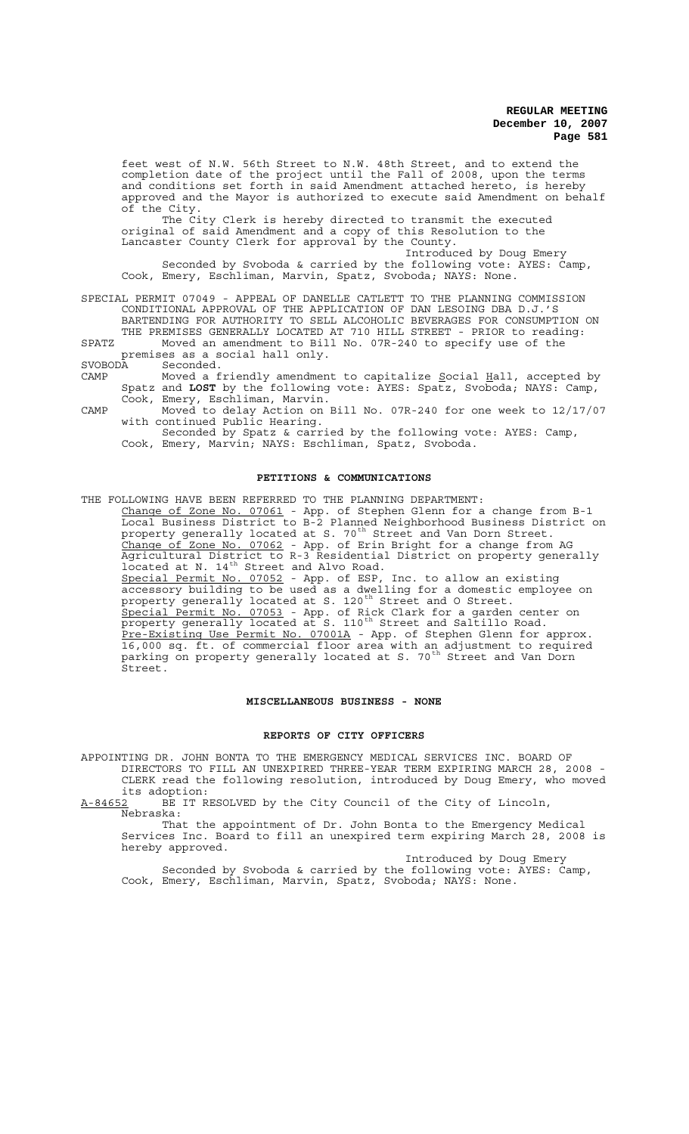feet west of N.W. 56th Street to N.W. 48th Street, and to extend the completion date of the project until the Fall of 2008, upon the terms and conditions set forth in said Amendment attached hereto, is hereby approved and the Mayor is authorized to execute said Amendment on behalf of the City.

The City Clerk is hereby directed to transmit the executed original of said Amendment and a copy of this Resolution to the Lancaster County Clerk for approval by the County.

Introduced by Doug Emery Seconded by Svoboda & carried by the following vote: AYES: Camp, Cook, Emery, Eschliman, Marvin, Spatz, Svoboda; NAYS: None.

SPECIAL PERMIT 07049 - APPEAL OF DANELLE CATLETT TO THE PLANNING COMMISSION CONDITIONAL APPROVAL OF THE APPLICATION OF DAN LESOING DBA D.J.'S BARTENDING FOR AUTHORITY TO SELL ALCOHOLIC BEVERAGES FOR CONSUMPTION ON THE PREMISES GENERALLY LOCATED AT 710 HILL STREET - PRIOR to reading:

SPATZ Moved an amendment to Bill No. 07R-240 to specify use of the premises as a social hall only.<br>Such that Seconded. Seconded.

- CAMP Moved a friendly amendment to capitalize Social Hall, accepted by Spatz and **LOST** by the following vote: AYES: Spatz, Svoboda; NAYS: Camp, Cook, Emery, Eschliman, Marvin.
- CAMP Moved to delay Action on Bill No. 07R-240 for one week to 12/17/07 with continued Public Hearing.

Seconded by Spatz & carried by the following vote: AYES: Camp, Cook, Emery, Marvin; NAYS: Eschliman, Spatz, Svoboda.

# **PETITIONS & COMMUNICATIONS**

THE FOLLOWING HAVE BEEN REFERRED TO THE PLANNING DEPARTMENT: Change of Zone No. 07061 - App. of Stephen Glenn for a change from B-1 Local Business District to B-2 Planned Neighborhood Business District on property generally located at S. 70<sup>th</sup> Street and Van Dorn Street. Change of Zone No. 07062 - App. of Erin Bright for a change from AG Agricultural District to R-3 Residential District on property generally located at N. 14<sup>th</sup> Street and Alvo Road. Special Permit No. 07052 - App. of ESP, Inc. to allow an existing accessory building to be used as a dwelling for a domestic employee on property generally located at S. 120<sup>th</sup> Street and O Street. Special Permit No. 07053 - App. of Rick Clark for a garden center on property generally located at S. 110<sup>th</sup> Street and Saltillo Road. Pre-Existing Use Permit No. 07001A - App. of Stephen Glenn for approx. 16,000 sq. ft. of commercial floor area with an adjustment to required parking on property generally located at S. 70<sup>th</sup> Street and Van Dorn Street.

# **MISCELLANEOUS BUSINESS - NONE**

### **REPORTS OF CITY OFFICERS**

APPOINTING DR. JOHN BONTA TO THE EMERGENCY MEDICAL SERVICES INC. BOARD OF DIRECTORS TO FILL AN UNEXPIRED THREE-YEAR TERM EXPIRING MARCH 28, 2008 - CLERK read the following resolution, introduced by Doug Emery, who moved

its adoption: BE IT RESOLVED by the City Council of the City of Lincoln, Nebraska:

That the appointment of Dr. John Bonta to the Emergency Medical Services Inc. Board to fill an unexpired term expiring March 28, 2008 is hereby approved.

Introduced by Doug Emery Seconded by Svoboda & carried by the following vote: AYES: Camp, Cook, Emery, Eschliman, Marvin, Spatz, Svoboda; NAYS: None.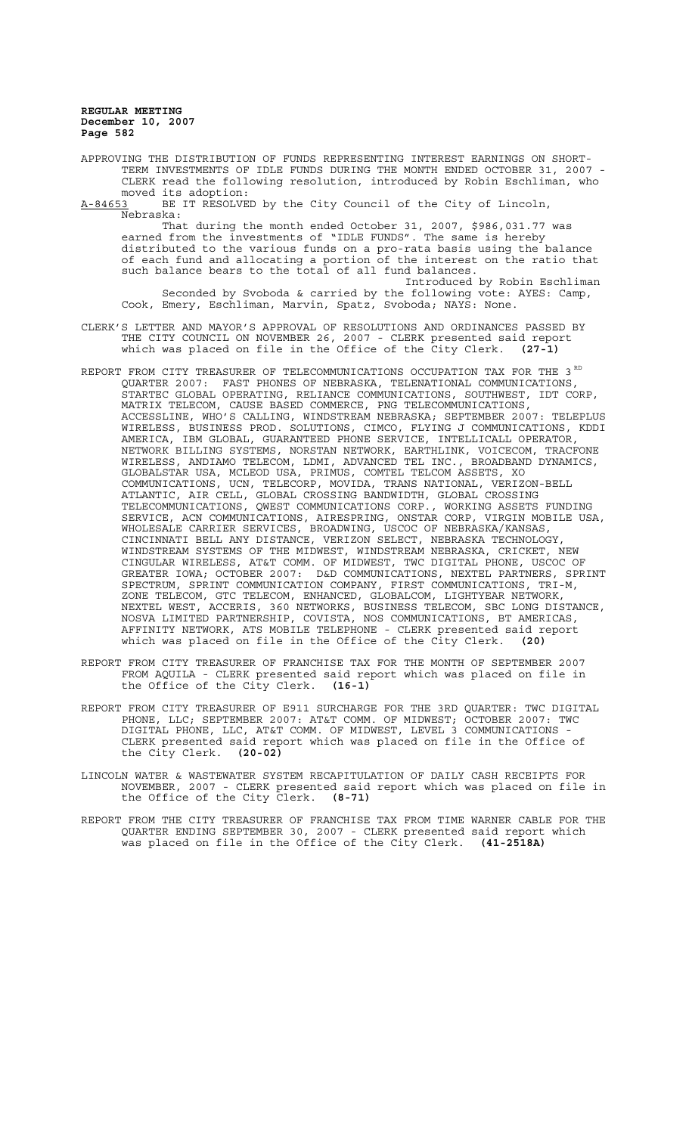APPROVING THE DISTRIBUTION OF FUNDS REPRESENTING INTEREST EARNINGS ON SHORT-TERM INVESTMENTS OF IDLE FUNDS DURING THE MONTH ENDED OCTOBER 31, 2007 - CLERK read the following resolution, introduced by Robin Eschliman, who moved its adoption:

A-84653 BE IT RESOLVED by the City Council of the City of Lincoln, Nebraska:

That during the month ended October 31, 2007, \$986,031.77 was earned from the investments of "IDLE FUNDS". The same is hereby distributed to the various funds on a pro-rata basis using the balance of each fund and allocating a portion of the interest on the ratio that such balance bears to the total of all fund balances. Introduced by Robin Eschliman

Seconded by Svoboda & carried by the following vote: AYES: Camp, Cook, Emery, Eschliman, Marvin, Spatz, Svoboda; NAYS: None.

- CLERK'S LETTER AND MAYOR'S APPROVAL OF RESOLUTIONS AND ORDINANCES PASSED BY THE CITY COUNCIL ON NOVEMBER 26, 2007 - CLERK presented said report which was placed on file in the Office of the City Clerk. **(27-1)**
- REPORT FROM CITY TREASURER OF TELECOMMUNICATIONS OCCUPATION TAX FOR THE 3  $^{\text{RD}}$ QUARTER 2007: FAST PHONES OF NEBRASKA, TELENATIONAL COMMUNICATIONS, STARTEC GLOBAL OPERATING, RELIANCE COMMUNICATIONS, SOUTHWEST, IDT CORP, MATRIX TELECOM, CAUSE BASED COMMERCE, PNG TELECOMMUNICATIONS, ACCESSLINE, WHO'S CALLING, WINDSTREAM NEBRASKA; SEPTEMBER 2007: TELEPLUS WIRELESS, BUSINESS PROD. SOLUTIONS, CIMCO, FLYING J COMMUNICATIONS, KDDI AMERICA, IBM GLOBAL, GUARANTEED PHONE SERVICE, INTELLICALL OPERATOR, NETWORK BILLING SYSTEMS, NORSTAN NETWORK, EARTHLINK, VOICECOM, TRACFONE WIRELESS, ANDIAMO TELECOM, LDMI, ADVANCED TEL INC., BROADBAND DYNAMICS, GLOBALSTAR USA, MCLEOD USA, PRIMUS, COMTEL TELCOM ASSETS, XO COMMUNICATIONS, UCN, TELECORP, MOVIDA, TRANS NATIONAL, VERIZON-BELL ATLANTIC, AIR CELL, GLOBAL CROSSING BANDWIDTH, GLOBAL CROSSING TELECOMMUNICATIONS, QWEST COMMUNICATIONS CORP., WORKING ASSETS FUNDING SERVICE, ACN COMMUNICATIONS, AIRESPRING, ONSTAR CORP, VIRGIN MOBILE USA, WHOLESALE CARRIER SERVICES, BROADWING, USCOC OF NEBRASKA/KANSAS, CINCINNATI BELL ANY DISTANCE, VERIZON SELECT, NEBRASKA TECHNOLOGY, WINDSTREAM SYSTEMS OF THE MIDWEST, WINDSTREAM NEBRASKA, CRICKET, NEW CINGULAR WIRELESS, AT&T COMM. OF MIDWEST, TWC DIGITAL PHONE, USCOC OF GREATER IOWA; OCTOBER 2007: D&D COMMUNICATIONS, NEXTEL PARTNERS, SPRINT SPECTRUM, SPRINT COMMUNICATION COMPANY, FIRST COMMUNICATIONS, TRI-M, ZONE TELECOM, GTC TELECOM, ENHANCED, GLOBALCOM, LIGHTYEAR NETWORK, NEXTEL WEST, ACCERIS, 360 NETWORKS, BUSINESS TELECOM, SBC LONG DISTANCE, NOSVA LIMITED PARTNERSHIP, COVISTA, NOS COMMUNICATIONS, BT AMERICAS, AFFINITY NETWORK, ATS MOBILE TELEPHONE - CLERK presented said report which was placed on file in the Office of the City Clerk. **(20)**
- REPORT FROM CITY TREASURER OF FRANCHISE TAX FOR THE MONTH OF SEPTEMBER 2007 FROM AQUILA - CLERK presented said report which was placed on file in the Office of the City Clerk. **(16-1)**
- REPORT FROM CITY TREASURER OF E911 SURCHARGE FOR THE 3RD QUARTER: TWC DIGITAL PHONE, LLC; SEPTEMBER 2007: AT&T COMM. OF MIDWEST; OCTOBER 2007: TWC DIGITAL PHONE, LLC, AT&T COMM. OF MIDWEST, LEVEL 3 COMMUNICATIONS - CLERK presented said report which was placed on file in the Office of the City Clerk. **(20-02)**
- LINCOLN WATER & WASTEWATER SYSTEM RECAPITULATION OF DAILY CASH RECEIPTS FOR NOVEMBER, 2007 - CLERK presented said report which was placed on file in the Office of the City Clerk. **(8-71)**
- REPORT FROM THE CITY TREASURER OF FRANCHISE TAX FROM TIME WARNER CABLE FOR THE QUARTER ENDING SEPTEMBER 30, 2007 - CLERK presented said report which was placed on file in the Office of the City Clerk. **(41-2518A)**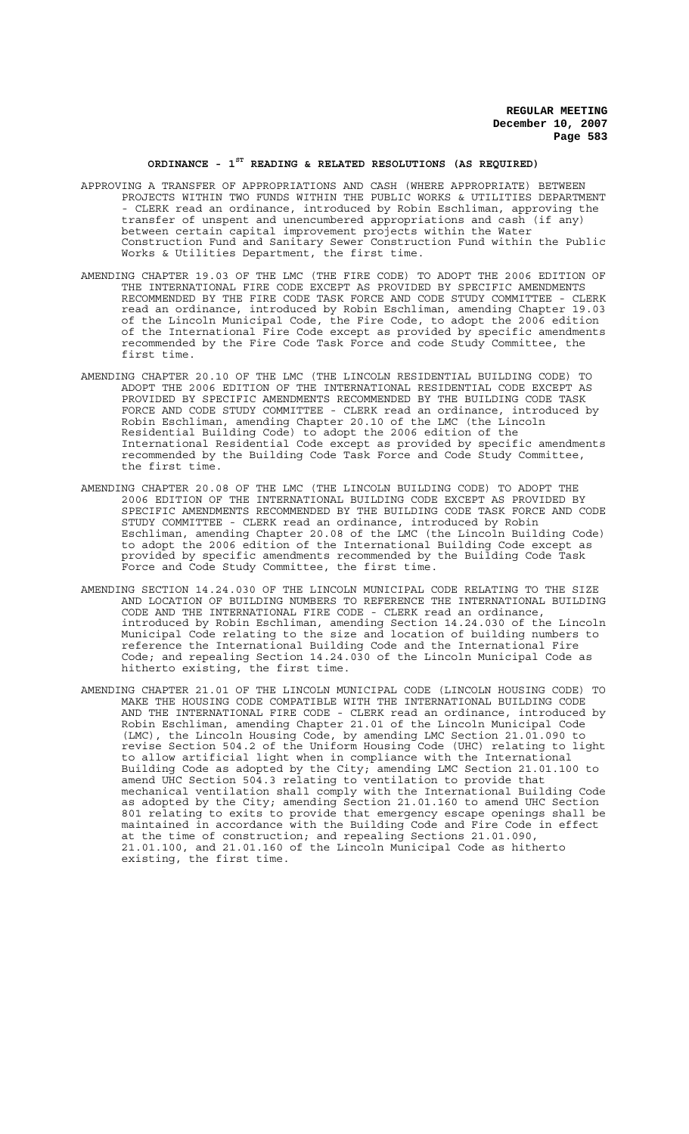# **ORDINANCE - 1ST READING & RELATED RESOLUTIONS (AS REQUIRED)**

- APPROVING A TRANSFER OF APPROPRIATIONS AND CASH (WHERE APPROPRIATE) BETWEEN PROJECTS WITHIN TWO FUNDS WITHIN THE PUBLIC WORKS & UTILITIES DEPARTMENT - CLERK read an ordinance, introduced by Robin Eschliman, approving the transfer of unspent and unencumbered appropriations and cash (if any) between certain capital improvement projects within the Water Construction Fund and Sanitary Sewer Construction Fund within the Public Works & Utilities Department, the first time.
- AMENDING CHAPTER 19.03 OF THE LMC (THE FIRE CODE) TO ADOPT THE 2006 EDITION OF THE INTERNATIONAL FIRE CODE EXCEPT AS PROVIDED BY SPECIFIC AMENDMENTS RECOMMENDED BY THE FIRE CODE TASK FORCE AND CODE STUDY COMMITTEE - CLERK read an ordinance, introduced by Robin Eschliman, amending Chapter 19.03 of the Lincoln Municipal Code, the Fire Code, to adopt the 2006 edition of the International Fire Code except as provided by specific amendments recommended by the Fire Code Task Force and code Study Committee, the first time.
- AMENDING CHAPTER 20.10 OF THE LMC (THE LINCOLN RESIDENTIAL BUILDING CODE) TO ADOPT THE 2006 EDITION OF THE INTERNATIONAL RESIDENTIAL CODE EXCEPT AS PROVIDED BY SPECIFIC AMENDMENTS RECOMMENDED BY THE BUILDING CODE TASK FORCE AND CODE STUDY COMMITTEE - CLERK read an ordinance, introduced by Robin Eschliman, amending Chapter 20.10 of the LMC (the Lincoln Residential Building Code) to adopt the 2006 edition of the International Residential Code except as provided by specific amendments recommended by the Building Code Task Force and Code Study Committee, the first time.
- AMENDING CHAPTER 20.08 OF THE LMC (THE LINCOLN BUILDING CODE) TO ADOPT THE 2006 EDITION OF THE INTERNATIONAL BUILDING CODE EXCEPT AS PROVIDED BY SPECIFIC AMENDMENTS RECOMMENDED BY THE BUILDING CODE TASK FORCE AND CODE STUDY COMMITTEE - CLERK read an ordinance, introduced by Robin Eschliman, amending Chapter 20.08 of the LMC (the Lincoln Building Code) to adopt the 2006 edition of the International Building Code except as provided by specific amendments recommended by the Building Code Task Force and Code Study Committee, the first time.
- AMENDING SECTION 14.24.030 OF THE LINCOLN MUNICIPAL CODE RELATING TO THE SIZE AND LOCATION OF BUILDING NUMBERS TO REFERENCE THE INTERNATIONAL BUILDING CODE AND THE INTERNATIONAL FIRE CODE - CLERK read an ordinance, introduced by Robin Eschliman, amending Section 14.24.030 of the Lincoln Municipal Code relating to the size and location of building numbers to reference the International Building Code and the International Fire Code; and repealing Section 14.24.030 of the Lincoln Municipal Code as hitherto existing, the first time.
- AMENDING CHAPTER 21.01 OF THE LINCOLN MUNICIPAL CODE (LINCOLN HOUSING CODE) TO MAKE THE HOUSING CODE COMPATIBLE WITH THE INTERNATIONAL BUILDING CODE AND THE INTERNATIONAL FIRE CODE - CLERK read an ordinance, introduced by Robin Eschliman, amending Chapter 21.01 of the Lincoln Municipal Code (LMC), the Lincoln Housing Code, by amending LMC Section 21.01.090 to revise Section 504.2 of the Uniform Housing Code (UHC) relating to light to allow artificial light when in compliance with the International Building Code as adopted by the City; amending LMC Section 21.01.100 to amend UHC Section 504.3 relating to ventilation to provide that mechanical ventilation shall comply with the International Building Code as adopted by the City; amending Section 21.01.160 to amend UHC Section 801 relating to exits to provide that emergency escape openings shall be maintained in accordance with the Building Code and Fire Code in effect at the time of construction; and repealing Sections 21.01.090, 21.01.100, and 21.01.160 of the Lincoln Municipal Code as hitherto existing, the first time.